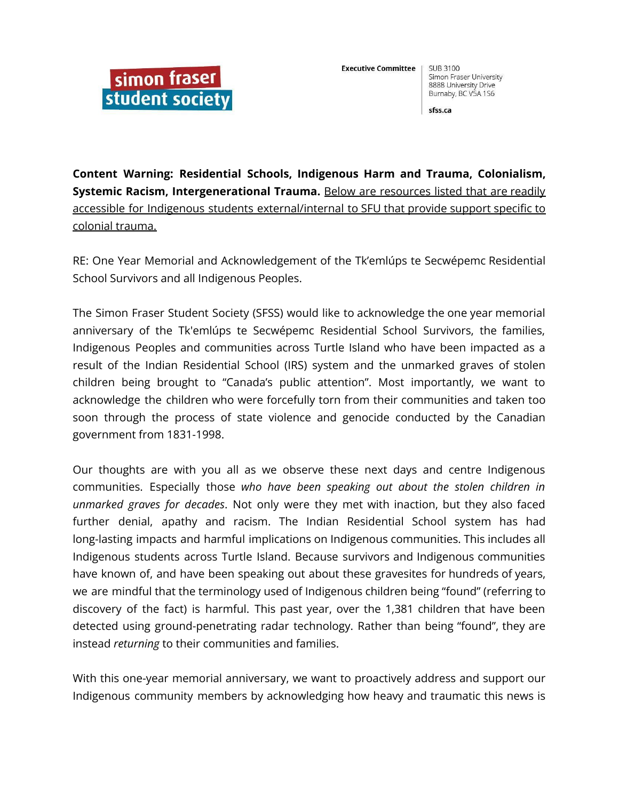

**SUB 3100** Simon Fraser University 8888 University Drive Burnaby, BC V5A 1S6

sfss.ca

**Content Warning: Residential Schools, Indigenous Harm and Trauma, Colonialism, Systemic Racism, Intergenerational Trauma.** Below are resources listed that are readily accessible for Indigenous students external/internal to SFU that provide support specific to colonial trauma.

RE: One Year Memorial and Acknowledgement of the Tk'emlúps te Secwépemc Residential School Survivors and all Indigenous Peoples.

The Simon Fraser Student Society (SFSS) would like to acknowledge the one year memorial anniversary of the Tk'emlúps te Secwépemc Residential School Survivors, the families, Indigenous Peoples and communities across Turtle Island who have been impacted as a result of the Indian Residential School (IRS) system and the unmarked graves of stolen children being brought to "Canada's public attention". Most importantly, we want to acknowledge the children who were forcefully torn from their communities and taken too soon through the process of state violence and genocide conducted by the Canadian government from 1831-1998.

Our thoughts are with you all as we observe these next days and centre Indigenous communities. Especially those *who have been speaking out about the stolen children in unmarked graves for decades*. Not only were they met with inaction, but they also faced further denial, apathy and racism. The Indian Residential School system has had long-lasting impacts and harmful implications on Indigenous communities. This includes all Indigenous students across Turtle Island. Because survivors and Indigenous communities have known of, and have been speaking out about these gravesites for hundreds of years, we are mindful that the terminology used of Indigenous children being "found" (referring to discovery of the fact) is harmful. This past year, over the 1,381 children that have been detected using ground-penetrating radar technology. Rather than being "found", they are instead *returning* to their communities and families.

With this one-year memorial anniversary, we want to proactively address and support our Indigenous community members by acknowledging how heavy and traumatic this news is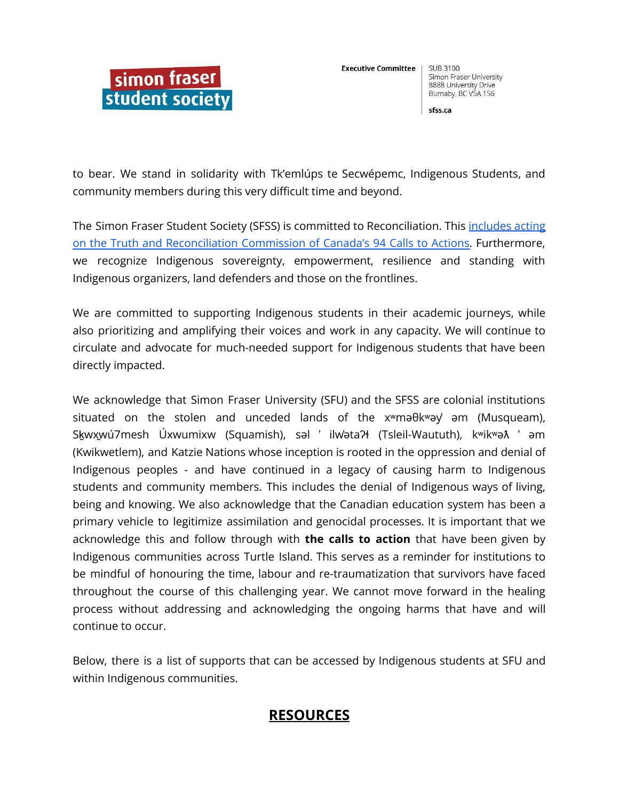

**SUB 3100** Simon Fraser University 8888 University Drive Burnaby, BC V5A 1S6

sfss.ca

to bear. We stand in solidarity with Tk'emlúps te Secwépemc, Indigenous Students, and community members during this very difficult time and beyond.

The Simon Fraser Student Society (SFSS) is committed to Reconciliation. This [includes](https://www2.gov.bc.ca/assets/gov/british-columbians-our-governments/indigenous-people/aboriginal-peoples-documents/calls_to_action_english2.pdf) acting on the Truth and [Reconciliation](https://www2.gov.bc.ca/assets/gov/british-columbians-our-governments/indigenous-people/aboriginal-peoples-documents/calls_to_action_english2.pdf) Commission of Canada's 94 Calls to Actions. Furthermore, we recognize Indigenous sovereignty, empowerment, resilience and standing with Indigenous organizers, land defenders and those on the frontlines.

We are committed to supporting Indigenous students in their academic journeys, while also prioritizing and amplifying their voices and work in any capacity. We will continue to circulate and advocate for much-needed support for Indigenous students that have been directly impacted.

We acknowledge that Simon Fraser University (SFU) and the SFSS are colonial institutions situated on the stolen and unceded lands of the xʷməθkʷəy̓ əm (Musqueam), Skwxwú7mesh Úxwumixw (Squamish), səl ' ilwəta?ł (Tsleil-Waututh), kʷikʷə $\lambda$  ' əm (Kwikwetlem), and Katzie Nations whose inception is rooted in the oppression and denial of Indigenous peoples - and have continued in a legacy of causing harm to Indigenous students and community members. This includes the denial of Indigenous ways of living, being and knowing. We also acknowledge that the Canadian education system has been a primary vehicle to legitimize assimilation and genocidal processes. It is important that we acknowledge this and follow through with **the calls to action** that have been given by Indigenous communities across Turtle Island. This serves as a reminder for institutions to be mindful of honouring the time, labour and re-traumatization that survivors have faced throughout the course of this challenging year. We cannot move forward in the healing process without addressing and acknowledging the ongoing harms that have and will continue to occur.

Below, there is a list of supports that can be accessed by Indigenous students at SFU and within Indigenous communities.

# **RESOURCES**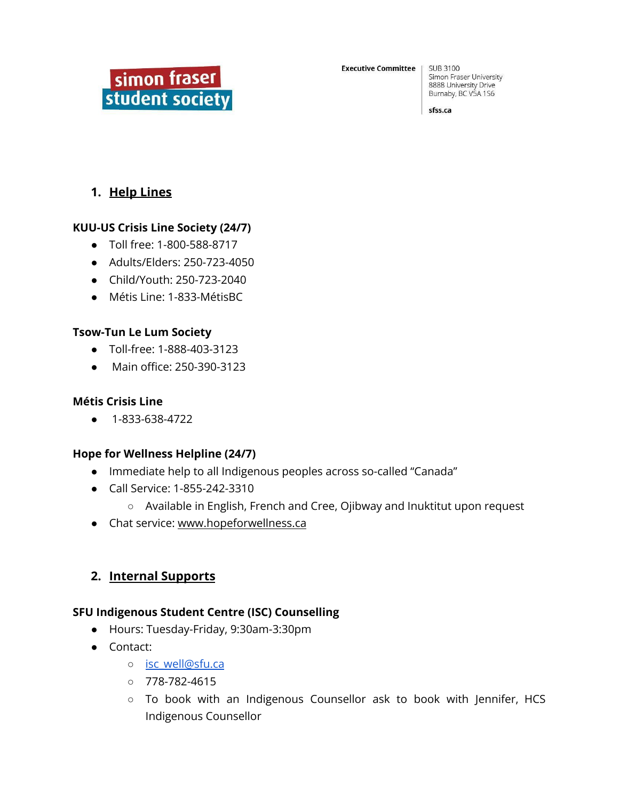

**SUB 3100** Simon Fraser University 8888 University Drive Burnaby, BC V5A 1S6

sfss.ca

### **1. Help Lines**

#### **KUU-US Crisis Line Society (24/7)**

- Toll free: 1-800-588-8717
- Adults/Elders: 250-723-4050
- Child/Youth: 250-723-2040
- Métis Line: 1-833-MétisBC

#### **Tsow-Tun Le Lum Society**

- Toll-free: 1-888-403-3123
- Main office: 250-390-3123

#### **Métis Crisis Line**

● 1-833-638-4722

#### **Hope for Wellness Helpline (24/7)**

- Immediate help to all Indigenous peoples across so-called "Canada"
- Call Service: 1-855-242-3310
	- Available in English, French and Cree, Ojibway and Inuktitut upon request
- Chat service: [www.hopeforwellness.ca](http://www.hopeforwellness.ca)

### **2. Internal Supports**

#### **SFU Indigenous Student Centre (ISC) Counselling**

- Hours: Tuesday-Friday, 9:30am-3:30pm
- Contact:
	- o isc well@sfu.ca
	- 778-782-4615
	- To book with an Indigenous Counsellor ask to book with Jennifer, HCS Indigenous Counsellor